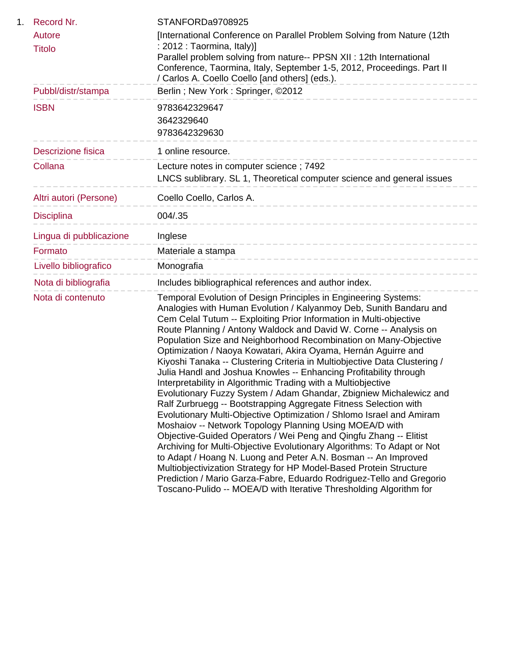| 1. | Record Nr.                | STANFORDa9708925                                                                                                                                                                                                                                                                                                                                                                                                                                                                                                                                                                                                                                                                                                                                                                                                                                                                                                                                                                                                                                                                                                                                                                                                                                                                                                                                            |
|----|---------------------------|-------------------------------------------------------------------------------------------------------------------------------------------------------------------------------------------------------------------------------------------------------------------------------------------------------------------------------------------------------------------------------------------------------------------------------------------------------------------------------------------------------------------------------------------------------------------------------------------------------------------------------------------------------------------------------------------------------------------------------------------------------------------------------------------------------------------------------------------------------------------------------------------------------------------------------------------------------------------------------------------------------------------------------------------------------------------------------------------------------------------------------------------------------------------------------------------------------------------------------------------------------------------------------------------------------------------------------------------------------------|
|    | Autore                    | [International Conference on Parallel Problem Solving from Nature (12th                                                                                                                                                                                                                                                                                                                                                                                                                                                                                                                                                                                                                                                                                                                                                                                                                                                                                                                                                                                                                                                                                                                                                                                                                                                                                     |
|    | <b>Titolo</b>             | : 2012 : Taormina, Italy)]<br>Parallel problem solving from nature-- PPSN XII : 12th International<br>Conference, Taormina, Italy, September 1-5, 2012, Proceedings. Part II<br>/ Carlos A. Coello Coello [and others] (eds.).                                                                                                                                                                                                                                                                                                                                                                                                                                                                                                                                                                                                                                                                                                                                                                                                                                                                                                                                                                                                                                                                                                                              |
|    | Pubbl/distr/stampa        | Berlin; New York: Springer, ©2012                                                                                                                                                                                                                                                                                                                                                                                                                                                                                                                                                                                                                                                                                                                                                                                                                                                                                                                                                                                                                                                                                                                                                                                                                                                                                                                           |
|    | <b>ISBN</b>               | 9783642329647<br>3642329640<br>9783642329630                                                                                                                                                                                                                                                                                                                                                                                                                                                                                                                                                                                                                                                                                                                                                                                                                                                                                                                                                                                                                                                                                                                                                                                                                                                                                                                |
|    | <b>Descrizione fisica</b> | 1 online resource.                                                                                                                                                                                                                                                                                                                                                                                                                                                                                                                                                                                                                                                                                                                                                                                                                                                                                                                                                                                                                                                                                                                                                                                                                                                                                                                                          |
|    | Collana                   | Lecture notes in computer science; 7492                                                                                                                                                                                                                                                                                                                                                                                                                                                                                                                                                                                                                                                                                                                                                                                                                                                                                                                                                                                                                                                                                                                                                                                                                                                                                                                     |
|    |                           | LNCS sublibrary. SL 1, Theoretical computer science and general issues                                                                                                                                                                                                                                                                                                                                                                                                                                                                                                                                                                                                                                                                                                                                                                                                                                                                                                                                                                                                                                                                                                                                                                                                                                                                                      |
|    | Altri autori (Persone)    | Coello Coello, Carlos A.                                                                                                                                                                                                                                                                                                                                                                                                                                                                                                                                                                                                                                                                                                                                                                                                                                                                                                                                                                                                                                                                                                                                                                                                                                                                                                                                    |
|    | <b>Disciplina</b>         | 004/.35<br>-------------------------                                                                                                                                                                                                                                                                                                                                                                                                                                                                                                                                                                                                                                                                                                                                                                                                                                                                                                                                                                                                                                                                                                                                                                                                                                                                                                                        |
|    | Lingua di pubblicazione   | Inglese<br>-----------------------------                                                                                                                                                                                                                                                                                                                                                                                                                                                                                                                                                                                                                                                                                                                                                                                                                                                                                                                                                                                                                                                                                                                                                                                                                                                                                                                    |
|    | Formato                   | Materiale a stampa                                                                                                                                                                                                                                                                                                                                                                                                                                                                                                                                                                                                                                                                                                                                                                                                                                                                                                                                                                                                                                                                                                                                                                                                                                                                                                                                          |
|    | Livello bibliografico     | Monografia                                                                                                                                                                                                                                                                                                                                                                                                                                                                                                                                                                                                                                                                                                                                                                                                                                                                                                                                                                                                                                                                                                                                                                                                                                                                                                                                                  |
|    | Nota di bibliografia      | Includes bibliographical references and author index.                                                                                                                                                                                                                                                                                                                                                                                                                                                                                                                                                                                                                                                                                                                                                                                                                                                                                                                                                                                                                                                                                                                                                                                                                                                                                                       |
|    | Nota di contenuto         | Temporal Evolution of Design Principles in Engineering Systems:<br>Analogies with Human Evolution / Kalyanmoy Deb, Sunith Bandaru and<br>Cem Celal Tutum -- Exploiting Prior Information in Multi-objective<br>Route Planning / Antony Waldock and David W. Corne -- Analysis on<br>Population Size and Neighborhood Recombination on Many-Objective<br>Optimization / Naoya Kowatari, Akira Oyama, Hernán Aguirre and<br>Kiyoshi Tanaka -- Clustering Criteria in Multiobjective Data Clustering /<br>Julia Handl and Joshua Knowles -- Enhancing Profitability through<br>Interpretability in Algorithmic Trading with a Multiobjective<br>Evolutionary Fuzzy System / Adam Ghandar, Zbigniew Michalewicz and<br>Ralf Zurbruegg -- Bootstrapping Aggregate Fitness Selection with<br>Evolutionary Multi-Objective Optimization / Shlomo Israel and Amiram<br>Moshaiov -- Network Topology Planning Using MOEA/D with<br>Objective-Guided Operators / Wei Peng and Qingfu Zhang -- Elitist<br>Archiving for Multi-Objective Evolutionary Algorithms: To Adapt or Not<br>to Adapt / Hoang N. Luong and Peter A.N. Bosman -- An Improved<br>Multiobjectivization Strategy for HP Model-Based Protein Structure<br>Prediction / Mario Garza-Fabre, Eduardo Rodriguez-Tello and Gregorio<br>Toscano-Pulido -- MOEA/D with Iterative Thresholding Algorithm for |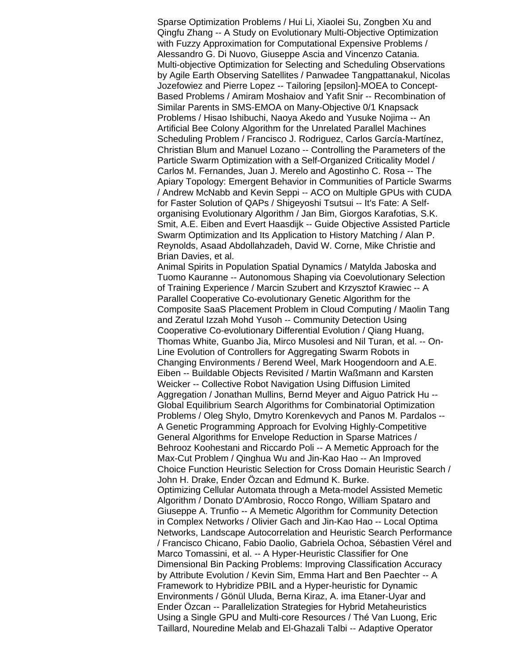Sparse Optimization Problems / Hui Li, Xiaolei Su, Zongben Xu and Qingfu Zhang -- A Study on Evolutionary Multi-Objective Optimization with Fuzzy Approximation for Computational Expensive Problems / Alessandro G. Di Nuovo, Giuseppe Ascia and Vincenzo Catania. Multi-objective Optimization for Selecting and Scheduling Observations by Agile Earth Observing Satellites / Panwadee Tangpattanakul, Nicolas Jozefowiez and Pierre Lopez -- Tailoring [epsilon]-MOEA to Concept-Based Problems / Amiram Moshaiov and Yafit Snir -- Recombination of Similar Parents in SMS-EMOA on Many-Objective 0/1 Knapsack Problems / Hisao Ishibuchi, Naoya Akedo and Yusuke Nojima -- An Artificial Bee Colony Algorithm for the Unrelated Parallel Machines Scheduling Problem / Francisco J. Rodriguez, Carlos García-Martínez, Christian Blum and Manuel Lozano -- Controlling the Parameters of the Particle Swarm Optimization with a Self-Organized Criticality Model / Carlos M. Fernandes, Juan J. Merelo and Agostinho C. Rosa -- The Apiary Topology: Emergent Behavior in Communities of Particle Swarms / Andrew McNabb and Kevin Seppi -- ACO on Multiple GPUs with CUDA for Faster Solution of QAPs / Shigeyoshi Tsutsui -- It's Fate: A Selforganising Evolutionary Algorithm / Jan Bim, Giorgos Karafotias, S.K. Smit, A.E. Eiben and Evert Haasdijk -- Guide Objective Assisted Particle Swarm Optimization and Its Application to History Matching / Alan P. Reynolds, Asaad Abdollahzadeh, David W. Corne, Mike Christie and Brian Davies, et al.

Animal Spirits in Population Spatial Dynamics / Matylda Jaboska and Tuomo Kauranne -- Autonomous Shaping via Coevolutionary Selection of Training Experience / Marcin Szubert and Krzysztof Krawiec -- A Parallel Cooperative Co-evolutionary Genetic Algorithm for the Composite SaaS Placement Problem in Cloud Computing / Maolin Tang and Zeratul Izzah Mohd Yusoh -- Community Detection Using Cooperative Co-evolutionary Differential Evolution / Qiang Huang, Thomas White, Guanbo Jia, Mirco Musolesi and Nil Turan, et al. -- On-Line Evolution of Controllers for Aggregating Swarm Robots in Changing Environments / Berend Weel, Mark Hoogendoorn and A.E. Eiben -- Buildable Objects Revisited / Martin Waßmann and Karsten Weicker -- Collective Robot Navigation Using Diffusion Limited Aggregation / Jonathan Mullins, Bernd Meyer and Aiguo Patrick Hu -- Global Equilibrium Search Algorithms for Combinatorial Optimization Problems / Oleg Shylo, Dmytro Korenkevych and Panos M. Pardalos -- A Genetic Programming Approach for Evolving Highly-Competitive General Algorithms for Envelope Reduction in Sparse Matrices / Behrooz Koohestani and Riccardo Poli -- A Memetic Approach for the Max-Cut Problem / Qinghua Wu and Jin-Kao Hao -- An Improved Choice Function Heuristic Selection for Cross Domain Heuristic Search / John H. Drake, Ender Özcan and Edmund K. Burke. Optimizing Cellular Automata through a Meta-model Assisted Memetic Algorithm / Donato D'Ambrosio, Rocco Rongo, William Spataro and Giuseppe A. Trunfio -- A Memetic Algorithm for Community Detection in Complex Networks / Olivier Gach and Jin-Kao Hao -- Local Optima Networks, Landscape Autocorrelation and Heuristic Search Performance / Francisco Chicano, Fabio Daolio, Gabriela Ochoa, Sébastien Vérel and Marco Tomassini, et al. -- A Hyper-Heuristic Classifier for One Dimensional Bin Packing Problems: Improving Classification Accuracy by Attribute Evolution / Kevin Sim, Emma Hart and Ben Paechter -- A Framework to Hybridize PBIL and a Hyper-heuristic for Dynamic Environments / Gönül Uluda, Berna Kiraz, A. ima Etaner-Uyar and

Ender Özcan -- Parallelization Strategies for Hybrid Metaheuristics Using a Single GPU and Multi-core Resources / Thé Van Luong, Eric Taillard, Nouredine Melab and El-Ghazali Talbi -- Adaptive Operator